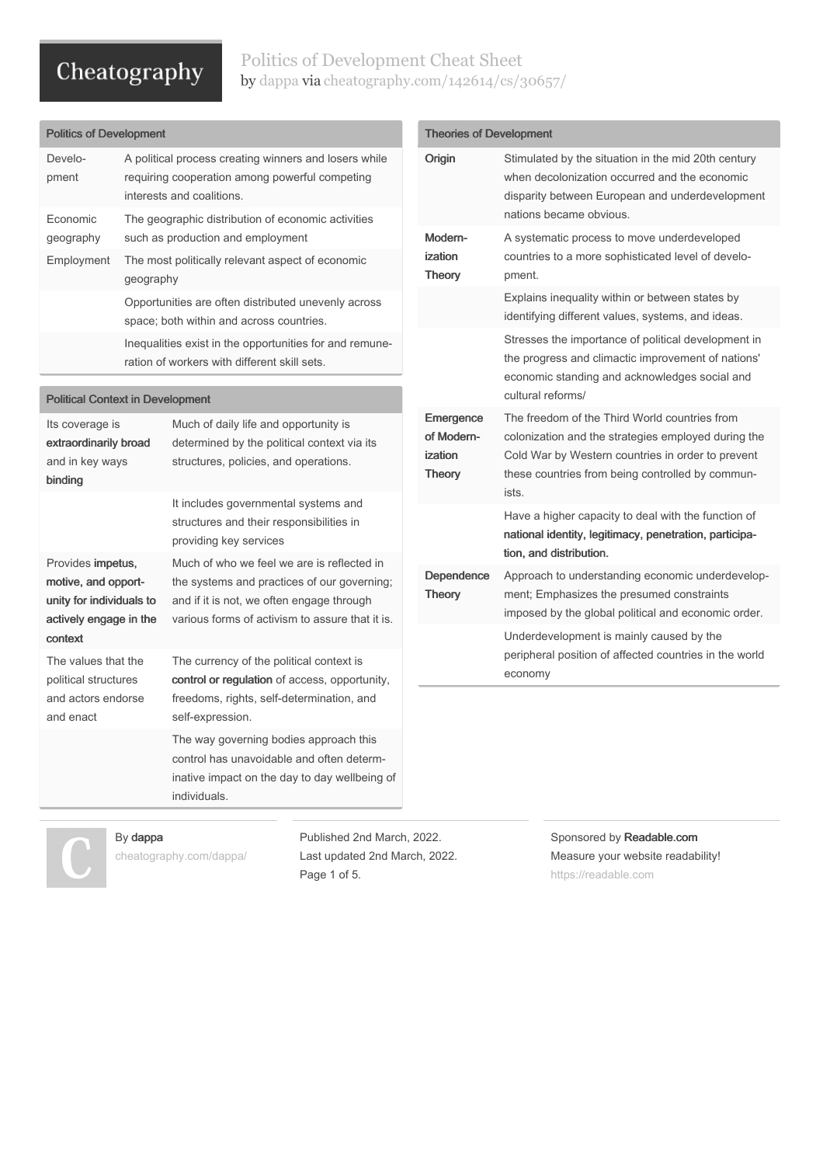## Politics of Development Cheat Sheet by [dappa](http://www.cheatography.com/dappa/) via [cheatography.com/142614/cs/30657/](http://www.cheatography.com/dappa/cheat-sheets/politics-of-development)

| <b>Politics of Development</b>                                         |                                                                                                                                      |                                                                                                                               |  |
|------------------------------------------------------------------------|--------------------------------------------------------------------------------------------------------------------------------------|-------------------------------------------------------------------------------------------------------------------------------|--|
| Develo-<br>pment                                                       | A political process creating winners and losers while<br>requiring cooperation among powerful competing<br>interests and coalitions. |                                                                                                                               |  |
| <b>Economic</b><br>geography                                           | The geographic distribution of economic activities<br>such as production and employment                                              |                                                                                                                               |  |
| Employment                                                             | The most politically relevant aspect of economic<br>geography                                                                        |                                                                                                                               |  |
|                                                                        | Opportunities are often distributed unevenly across<br>space; both within and across countries.                                      |                                                                                                                               |  |
|                                                                        | Inequalities exist in the opportunities for and remune-<br>ration of workers with different skill sets.                              |                                                                                                                               |  |
|                                                                        |                                                                                                                                      |                                                                                                                               |  |
| <b>Political Context in Development</b>                                |                                                                                                                                      |                                                                                                                               |  |
| Its coverage is<br>extraordinarily broad<br>and in key ways<br>binding |                                                                                                                                      | Much of daily life and opportunity is<br>determined by the political context via its<br>structures, policies, and operations. |  |
|                                                                        |                                                                                                                                      | It includes governmental systems and<br>structures and their responsibilities in<br>providing key services                    |  |

Provides impetus, motive, and opport‐ unity for individuals to actively engage in the context Much of who we feel we are is reflected in the systems and practices of our governing; and if it is not, we often engage through various forms of activism to assure that it is. The values that the political structures and actors endorse and enact The currency of the political context is control or regulation of access, opportunity, freedoms, rights, self-determination, and self-expression. The way governing bodies approach this

control has unavoidable and often determ‐ inative impact on the day to day wellbeing of individuals.

| <b>Theories of Development</b>                      |                                                                                                                                                                                                                        |  |  |
|-----------------------------------------------------|------------------------------------------------------------------------------------------------------------------------------------------------------------------------------------------------------------------------|--|--|
| Origin                                              | Stimulated by the situation in the mid 20th century<br>when decolonization occurred and the economic<br>disparity between European and underdevelopment<br>nations became obvious.                                     |  |  |
| Modern-<br>ization<br><b>Theory</b>                 | A systematic process to move underdeveloped<br>countries to a more sophisticated level of develo-<br>pment.                                                                                                            |  |  |
|                                                     | Explains inequality within or between states by<br>identifying different values, systems, and ideas.                                                                                                                   |  |  |
|                                                     | Stresses the importance of political development in<br>the progress and climactic improvement of nations'<br>economic standing and acknowledges social and<br>cultural reforms/                                        |  |  |
| Emergence<br>of Modern-<br>ization<br><b>Theory</b> | The freedom of the Third World countries from<br>colonization and the strategies employed during the<br>Cold War by Western countries in order to prevent<br>these countries from being controlled by commun-<br>ists. |  |  |
|                                                     | Have a higher capacity to deal with the function of<br>national identity, legitimacy, penetration, participa-<br>tion, and distribution.                                                                               |  |  |
| Dependence<br><b>Theory</b>                         | Approach to understanding economic underdevelop-<br>ment; Emphasizes the presumed constraints<br>imposed by the global political and economic order.                                                                   |  |  |
|                                                     | Underdevelopment is mainly caused by the<br>peripheral position of affected countries in the world<br>economy                                                                                                          |  |  |
|                                                     |                                                                                                                                                                                                                        |  |  |

## By dappa

[cheatography.com/dappa/](http://www.cheatography.com/dappa/)

Published 2nd March, 2022. Last updated 2nd March, 2022. Page 1 of 5.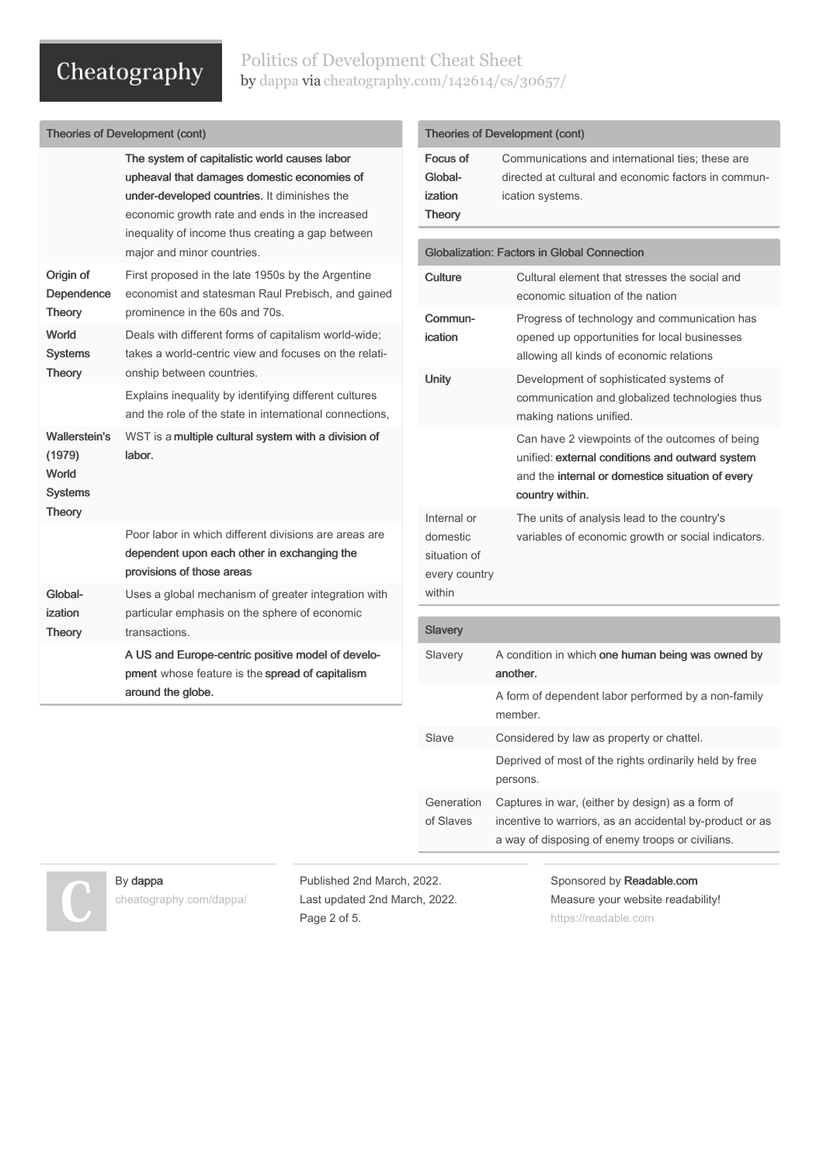## Politics of Development Cheat Sheet by [dappa](http://www.cheatography.com/dappa/) via [cheatography.com/142614/cs/30657/](http://www.cheatography.com/dappa/cheat-sheets/politics-of-development)

| <b>Theories of Development (cont)</b>                                      |                                                                                                                                                                                                                                                                                  |  |  |
|----------------------------------------------------------------------------|----------------------------------------------------------------------------------------------------------------------------------------------------------------------------------------------------------------------------------------------------------------------------------|--|--|
|                                                                            | The system of capitalistic world causes labor<br>upheaval that damages domestic economies of<br>under-developed countries. It diminishes the<br>economic growth rate and ends in the increased<br>inequality of income thus creating a gap between<br>major and minor countries. |  |  |
| Origin of<br>Dependence<br>Theory                                          | First proposed in the late 1950s by the Argentine<br>economist and statesman Raul Prebisch, and gained<br>prominence in the 60s and 70s.                                                                                                                                         |  |  |
| World<br><b>Systems</b><br>Theory                                          | Deals with different forms of capitalism world-wide;<br>takes a world-centric view and focuses on the relati-<br>onship between countries.                                                                                                                                       |  |  |
|                                                                            | Explains inequality by identifying different cultures<br>and the role of the state in international connections,                                                                                                                                                                 |  |  |
| <b>Wallerstein's</b><br>(1979)<br>World<br><b>Systems</b><br><b>Theory</b> | WST is a multiple cultural system with a division of<br>labor.                                                                                                                                                                                                                   |  |  |
|                                                                            | Poor labor in which different divisions are areas are<br>dependent upon each other in exchanging the<br>provisions of those areas                                                                                                                                                |  |  |
| Global-<br>ization<br><b>Theory</b>                                        | Uses a global mechanism of greater integration with<br>particular emphasis on the sphere of economic<br>transactions.                                                                                                                                                            |  |  |
|                                                                            | A US and Europe-centric positive model of develo-<br>pment whose feature is the spread of capitalism<br>around the globe.                                                                                                                                                        |  |  |
|                                                                            |                                                                                                                                                                                                                                                                                  |  |  |

| <b>Theories of Development (cont)</b>                              |                                                                                                                                                                          |  |  |
|--------------------------------------------------------------------|--------------------------------------------------------------------------------------------------------------------------------------------------------------------------|--|--|
| Focus of<br>Global-<br>ization<br><b>Theory</b>                    | Communications and international ties: these are<br>directed at cultural and economic factors in commun-<br>ication systems.                                             |  |  |
|                                                                    | <b>Globalization: Factors in Global Connection</b>                                                                                                                       |  |  |
| Culture                                                            | Cultural element that stresses the social and<br>economic situation of the nation                                                                                        |  |  |
| Commun-<br>ication                                                 | Progress of technology and communication has<br>opened up opportunities for local businesses<br>allowing all kinds of economic relations                                 |  |  |
| <b>Unity</b>                                                       | Development of sophisticated systems of<br>communication and globalized technologies thus<br>making nations unified.                                                     |  |  |
|                                                                    | Can have 2 viewpoints of the outcomes of being<br>unified: external conditions and outward system<br>and the internal or domestice situation of every<br>country within. |  |  |
| Internal or<br>domestic<br>situation of<br>every country<br>within | The units of analysis lead to the country's<br>variables of economic growth or social indicators.                                                                        |  |  |
| <b>Slavery</b>                                                     |                                                                                                                                                                          |  |  |
| Slavery                                                            | A condition in which one human being was owned by<br>another                                                                                                             |  |  |
|                                                                    | A form of dependent labor performed by a non-family<br>member.                                                                                                           |  |  |
| Slave                                                              | Considered by law as property or chattel.                                                                                                                                |  |  |
|                                                                    | Deprived of most of the rights ordinarily held by free<br>persons.                                                                                                       |  |  |
| Generation<br>of Slaves                                            | Captures in war, (either by design) as a form of<br>incentive to warriors, as an accidental by-product or as<br>a way of disposing of enemy troops or civilians.         |  |  |
| 2022.                                                              | Sponsored by Readable.com                                                                                                                                                |  |  |

By dappa

[cheatography.com/dappa/](http://www.cheatography.com/dappa/)

Published 2nd March, Last updated 2nd March, 2022. Page 2 of 5.

Measure your website readability! <https://readable.com>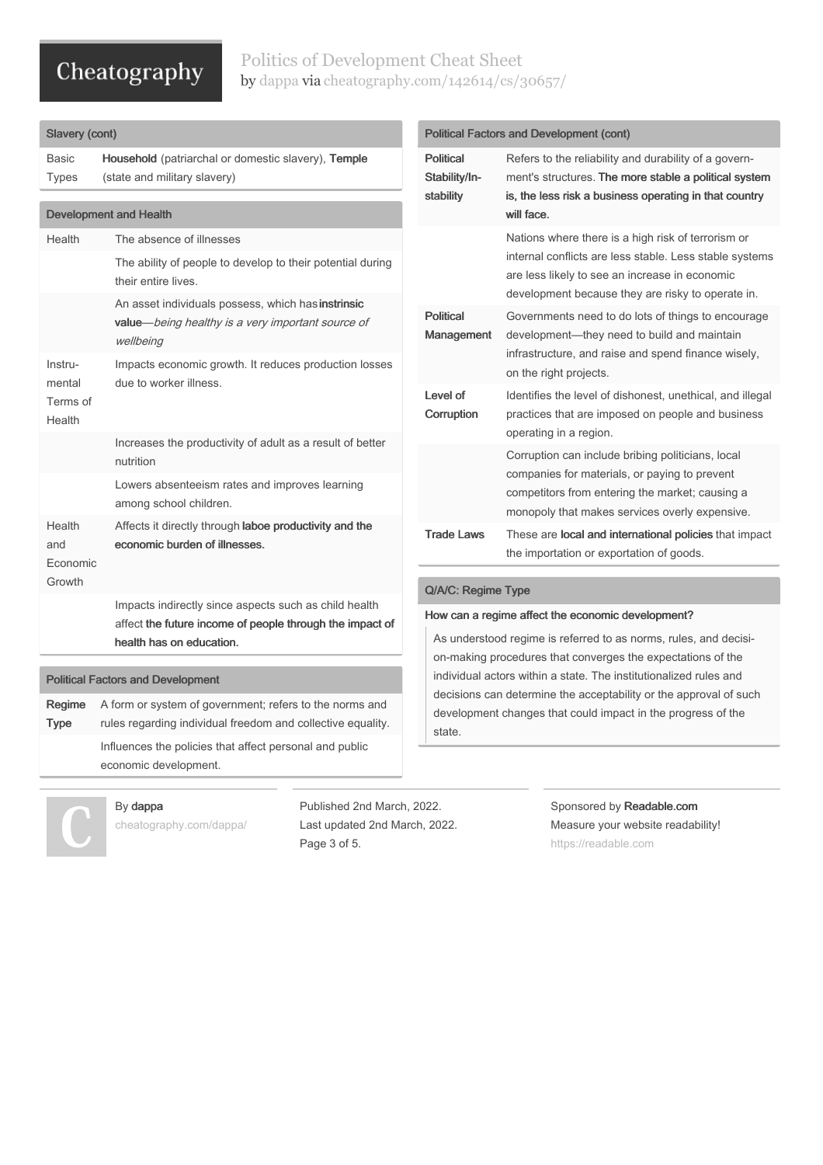## Politics of Development Cheat Sheet by [dappa](http://www.cheatography.com/dappa/) via [cheatography.com/142614/cs/30657/](http://www.cheatography.com/dappa/cheat-sheets/politics-of-development)

## Slavery (cont)

Basic Types Household (patriarchal or domestic slavery), Temple (state and military slavery)

| <b>Development and Health</b>            |                                                                                                                                               |  |  |
|------------------------------------------|-----------------------------------------------------------------------------------------------------------------------------------------------|--|--|
| Health                                   | The absence of illnesses                                                                                                                      |  |  |
|                                          | The ability of people to develop to their potential during<br>their entire lives.                                                             |  |  |
|                                          | An asset individuals possess, which has instrinsic<br>value-being healthy is a very important source of<br>wellbeing                          |  |  |
| Instru-<br>mental<br>Terms of<br>Health  | Impacts economic growth. It reduces production losses<br>due to worker illness.                                                               |  |  |
|                                          | Increases the productivity of adult as a result of better<br>nutrition                                                                        |  |  |
|                                          | Lowers absenteeism rates and improves learning<br>among school children.                                                                      |  |  |
| Health<br>and<br>Economic<br>Growth      | Affects it directly through laboe productivity and the<br>economic burden of illnesses.                                                       |  |  |
|                                          | Impacts indirectly since aspects such as child health<br>affect the future income of people through the impact of<br>health has on education. |  |  |
| <b>Political Factors and Development</b> |                                                                                                                                               |  |  |
| Regime<br><b>Type</b>                    | A form or system of government; refers to the norms and<br>rules regarding individual freedom and collective equality.                        |  |  |

rules regarding individual freedom and collective equality. Influences the policies that affect personal and public economic development.

By dappa

[cheatography.com/dappa/](http://www.cheatography.com/dappa/)

Published 2nd March, 2022. Last updated 2nd March, 2022. Page 3 of 5.

## Political Factors and Development (cont)

| <b>Political</b><br>Stability/In-<br>stability | Refers to the reliability and durability of a govern-<br>ment's structures. The more stable a political system<br>is, the less risk a business operating in that country<br>will face.                               |
|------------------------------------------------|----------------------------------------------------------------------------------------------------------------------------------------------------------------------------------------------------------------------|
|                                                | Nations where there is a high risk of terrorism or<br>internal conflicts are less stable. Less stable systems<br>are less likely to see an increase in economic<br>development because they are risky to operate in. |
| <b>Political</b><br>Management                 | Governments need to do lots of things to encourage<br>development—they need to build and maintain<br>infrastructure, and raise and spend finance wisely,<br>on the right projects.                                   |
| Level of<br>Corruption                         | Identifies the level of dishonest, unethical, and illegal<br>practices that are imposed on people and business<br>operating in a region.                                                                             |
|                                                | Corruption can include bribing politicians, local<br>companies for materials, or paying to prevent<br>competitors from entering the market; causing a<br>monopoly that makes services overly expensive.              |
| <b>Trade Laws</b>                              | These are local and international policies that impact<br>the importation or exportation of goods.                                                                                                                   |

## Q/A/C: Regime Type

### How can a regime affect the economic development?

As understood regime is referred to as norms, rules, and decisi‐ on-making procedures that converges the expectations of the individual actors within a state. The institutionalized rules and decisions can determine the acceptability or the approval of such development changes that could impact in the progress of the state.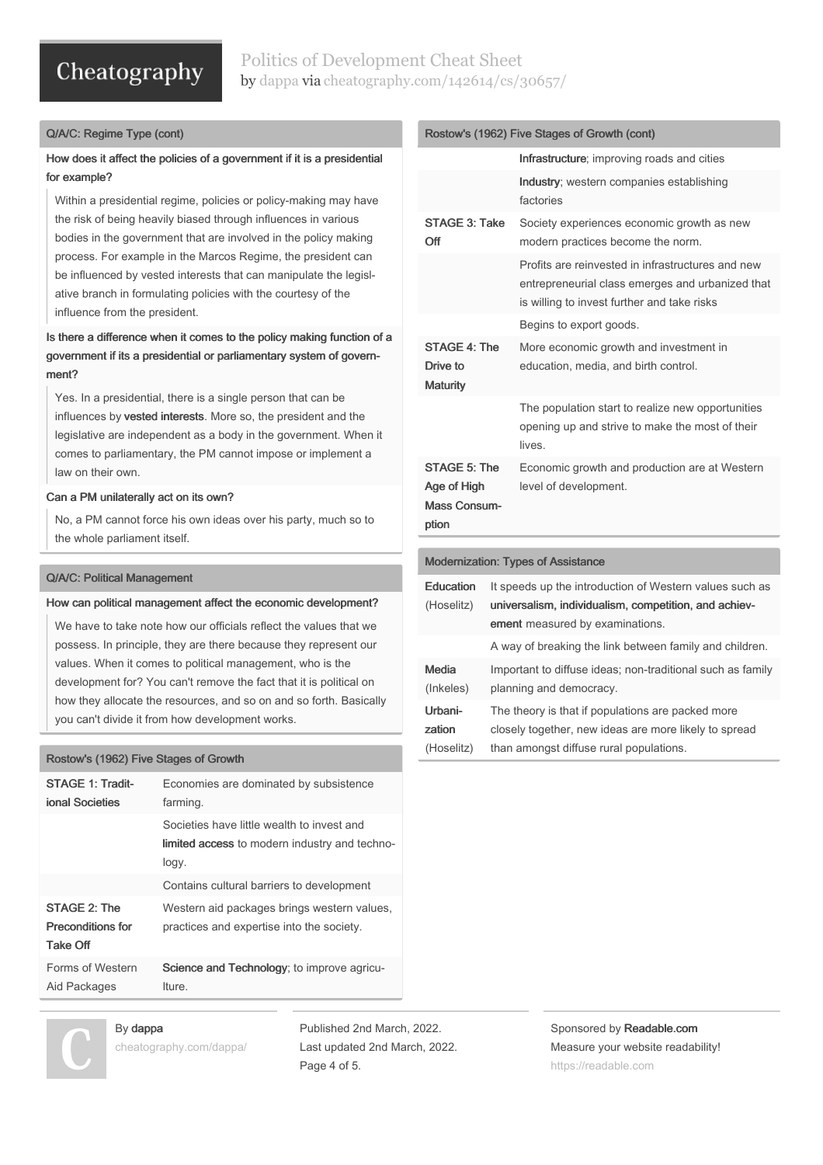## Politics of Development Cheat Sheet by [dappa](http://www.cheatography.com/dappa/) via [cheatography.com/142614/cs/30657/](http://www.cheatography.com/dappa/cheat-sheets/politics-of-development)

### Q/A/C: Regime Type (cont)

## How does it affect the policies of a government if it is a presidential for example?

Within a presidential regime, policies or policy-making may have the risk of being heavily biased through influences in various bodies in the government that are involved in the policy making process. For example in the Marcos Regime, the president can be influenced by vested interests that can manipulate the legislative branch in formulating policies with the courtesy of the influence from the president.

## Is there a difference when it comes to the policy making function of a government if its a presidential or parliamentary system of government?

Yes. In a presidential, there is a single person that can be influences by vested interests. More so, the president and the legislative are independent as a body in the government. When it comes to parliamentary, the PM cannot impose or implement a law on their own.

### Can a PM unilaterally act on its own?

No, a PM cannot force his own ideas over his party, much so to the whole parliament itself.

#### Q/A/C: Political Management

#### How can political management affect the economic development?

We have to take note how our officials reflect the values that we possess. In principle, they are there because they represent our values. When it comes to political management, who is the development for? You can't remove the fact that it is political on how they allocate the resources, and so on and so forth. Basically you can't divide it from how development works.

#### Rostow's (1962) Five Stages of Growth

| STAGE 1: Tradit-<br>ional Societies                         | Economies are dominated by subsistence<br>farming.                                                   |
|-------------------------------------------------------------|------------------------------------------------------------------------------------------------------|
|                                                             | Societies have little wealth to invest and<br>limited access to modern industry and techno-<br>logy. |
|                                                             | Contains cultural barriers to development                                                            |
| STAGE 2: The<br><b>Preconditions for</b><br><b>Take Off</b> | Western aid packages brings western values,<br>practices and expertise into the society.             |
| Forms of Western<br>Aid Packages                            | Science and Technology; to improve agricu-<br>Iture.                                                 |

## By dappa [cheatography.com/dappa/](http://www.cheatography.com/dappa/)

Published 2nd March, 2022. Last updated 2nd March, 2022. Page 4 of 5.

|                                                             | Infrastructure; improving roads and cities                                                                                                           |  |  |
|-------------------------------------------------------------|------------------------------------------------------------------------------------------------------------------------------------------------------|--|--|
|                                                             | Industry; western companies establishing<br>factories                                                                                                |  |  |
| STAGE 3: Take<br>Off                                        | Society experiences economic growth as new<br>modern practices become the norm.                                                                      |  |  |
|                                                             | Profits are reinvested in infrastructures and new<br>entrepreneurial class emerges and urbanized that<br>is willing to invest further and take risks |  |  |
|                                                             | Begins to export goods.                                                                                                                              |  |  |
| STAGE 4: The<br>Drive to<br><b>Maturity</b>                 | More economic growth and investment in<br>education, media, and birth control.                                                                       |  |  |
|                                                             | The population start to realize new opportunities<br>opening up and strive to make the most of their<br>lives.                                       |  |  |
| STAGE 5: The<br>Age of High<br><b>Mass Consum-</b><br>ption | Economic growth and production are at Western<br>level of development.                                                                               |  |  |
|                                                             |                                                                                                                                                      |  |  |
| <b>Modernization: Types of Assistance</b>                   |                                                                                                                                                      |  |  |
| Education<br>(Hoselitz)                                     | It speeds up the introduction of Western values such as<br>universalism, individualism, competition, and achiev-<br>ement measured by examinations.  |  |  |
|                                                             | A way of breaking the link between family and children.                                                                                              |  |  |
| Media<br>(Inkeles)                                          | Important to diffuse ideas; non-traditional such as family<br>planning and democracy.                                                                |  |  |

Rostow's (1962) Five Stages of Growth (cont)

| Urbani-    | The theory is that if populations are packed more     |
|------------|-------------------------------------------------------|
| zation     | closely together, new ideas are more likely to spread |
| (Hoselitz) | than amongst diffuse rural populations.               |